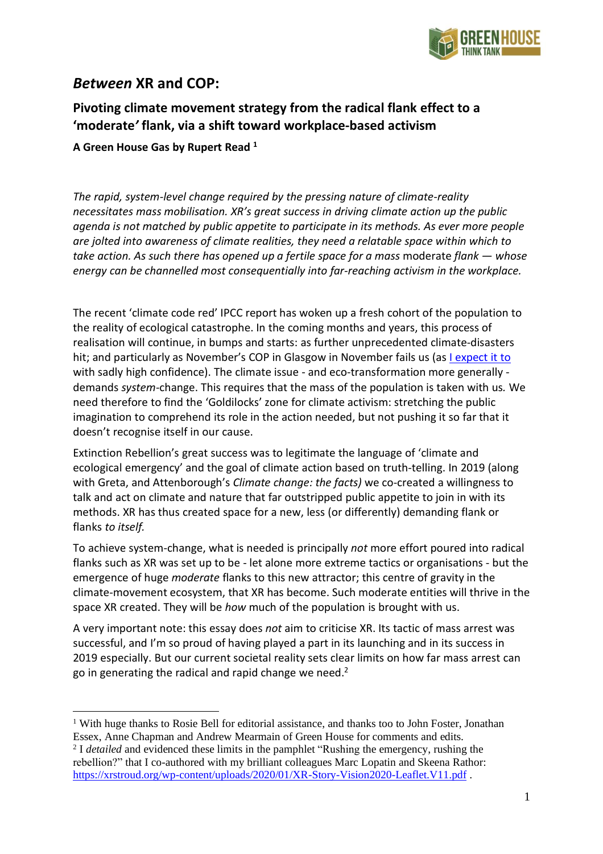

# *Between* **XR and COP:**

## **Pivoting climate movement strategy from the radical flank effect to a 'moderate***'* **flank, via a shift toward workplace-based activism**

### **A Green House Gas by Rupert Read <sup>1</sup>**

*The rapid, system-level change required by the pressing nature of climate-reality necessitates mass mobilisation. XR's great success in driving climate action up the public agenda is not matched by public appetite to participate in its methods. As ever more people are jolted into awareness of climate realities, they need a relatable space within which to take action. As such there has opened up a fertile space for a mass* moderate *flank — whose energy can be channelled most consequentially into far-reaching activism in the workplace.*

The recent 'climate code red' IPCC report has woken up a fresh cohort of the population to the reality of ecological catastrophe. In the coming months and years, this process of realisation will continue, in bumps and starts: as further unprecedented climate-disasters hit; and particularly as November's COP in Glasgow in November fails us (as I [expect](https://www.youtube.com/watch?v=fi61hG2ftpw) it to with sadly high confidence). The climate issue - and eco-transformation more generally demands *system*-change. This requires that the mass of the population is taken with us*.* We need therefore to find the 'Goldilocks' zone for climate activism: stretching the public imagination to comprehend its role in the action needed, but not pushing it so far that it doesn't recognise itself in our cause.

Extinction Rebellion's great success was to legitimate the language of 'climate and ecological emergency' and the goal of climate action based on truth-telling. In 2019 (along with Greta, and Attenborough's *Climate change: the facts)* we co-created a willingness to talk and act on climate and nature that far outstripped public appetite to join in with its methods. XR has thus created space for a new, less (or differently) demanding flank or flanks *to itself.*

To achieve system-change, what is needed is principally *not* more effort poured into radical flanks such as XR was set up to be - let alone more extreme tactics or organisations - but the emergence of huge *moderate* flanks to this new attractor; this centre of gravity in the climate-movement ecosystem, that XR has become. Such moderate entities will thrive in the space XR created. They will be *how* much of the population is brought with us.

A very important note: this essay does *not* aim to criticise XR. Its tactic of mass arrest was successful, and I'm so proud of having played a part in its launching and in its success in 2019 especially. But our current societal reality sets clear limits on how far mass arrest can go in generating the radical and rapid change we need. $2$ 

<sup>&</sup>lt;sup>1</sup> With huge thanks to Rosie Bell for editorial assistance, and thanks too to John Foster, Jonathan Essex, Anne Chapman and Andrew Mearmain of Green House for comments and edits.

<sup>&</sup>lt;sup>2</sup> I *detailed* and evidenced these limits in the pamphlet "Rushing the emergency, rushing the rebellion?" that I co-authored with my brilliant colleagues Marc Lopatin and Skeena Rathor: <https://xrstroud.org/wp-content/uploads/2020/01/XR-Story-Vision2020-Leaflet.V11.pdf>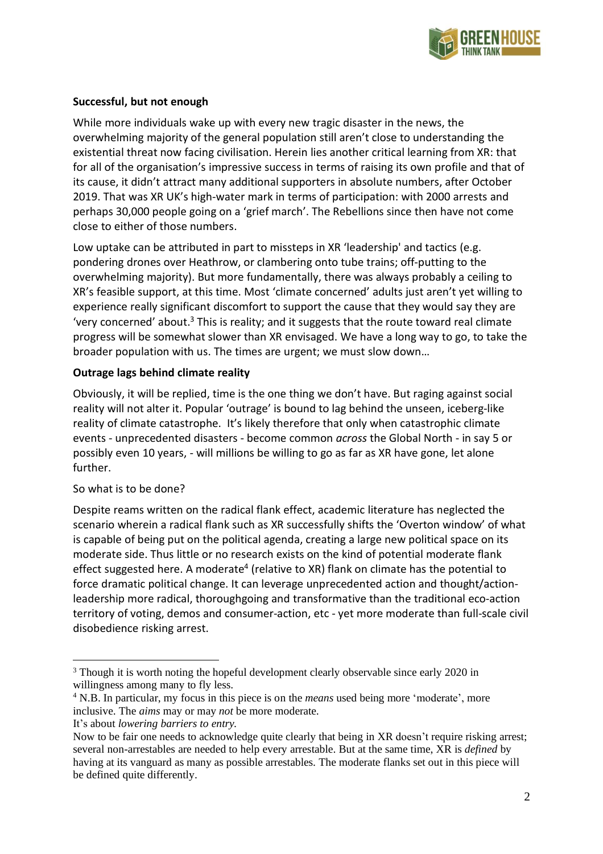

## **Successful, but not enough**

While more individuals wake up with every new tragic disaster in the news, the overwhelming majority of the general population still aren't close to understanding the existential threat now facing civilisation. Herein lies another critical learning from XR: that for all of the organisation's impressive success in terms of raising its own profile and that of its cause, it didn't attract many additional supporters in absolute numbers, after October 2019. That was XR UK's high-water mark in terms of participation: with 2000 arrests and perhaps 30,000 people going on a 'grief march'. The Rebellions since then have not come close to either of those numbers.

Low uptake can be attributed in part to missteps in XR 'leadership' and tactics (e.g. pondering drones over Heathrow, or clambering onto tube trains; off-putting to the overwhelming majority). But more fundamentally, there was always probably a ceiling to XR's feasible support, at this time. Most 'climate concerned' adults just aren't yet willing to experience really significant discomfort to support the cause that they would say they are 'very concerned' about.<sup>3</sup> This is reality; and it suggests that the route toward real climate progress will be somewhat slower than XR envisaged. We have a long way to go, to take the broader population with us. The times are urgent; we must slow down…

## **Outrage lags behind climate reality**

Obviously, it will be replied, time is the one thing we don't have. But raging against social reality will not alter it. Popular 'outrage' is bound to lag behind the unseen, iceberg-like reality of climate catastrophe. It's likely therefore that only when catastrophic climate events - unprecedented disasters - become common *across* the Global North - in say 5 or possibly even 10 years, - will millions be willing to go as far as XR have gone, let alone further.

## So what is to be done?

Despite reams written on the radical flank effect, academic literature has neglected the scenario wherein a radical flank such as XR successfully shifts the 'Overton window' of what is capable of being put on the political agenda, creating a large new political space on its moderate side. Thus little or no research exists on the kind of potential moderate flank effect suggested here. A moderate<sup>4</sup> (relative to XR) flank on climate has the potential to force dramatic political change. It can leverage unprecedented action and thought/actionleadership more radical, thoroughgoing and transformative than the traditional eco-action territory of voting, demos and consumer-action, etc - yet more moderate than full-scale civil disobedience risking arrest.

<sup>&</sup>lt;sup>3</sup> Though it is worth noting the hopeful development clearly observable since early 2020 in willingness among many to fly less.

<sup>4</sup> N.B. In particular, my focus in this piece is on the *means* used being more 'moderate', more inclusive. The *aims* may or may *not* be more moderate.

It's about *lowering barriers to entry.*

Now to be fair one needs to acknowledge quite clearly that being in XR doesn't require risking arrest; several non-arrestables are needed to help every arrestable. But at the same time, XR is *defined* by having at its vanguard as many as possible arrestables. The moderate flanks set out in this piece will be defined quite differently.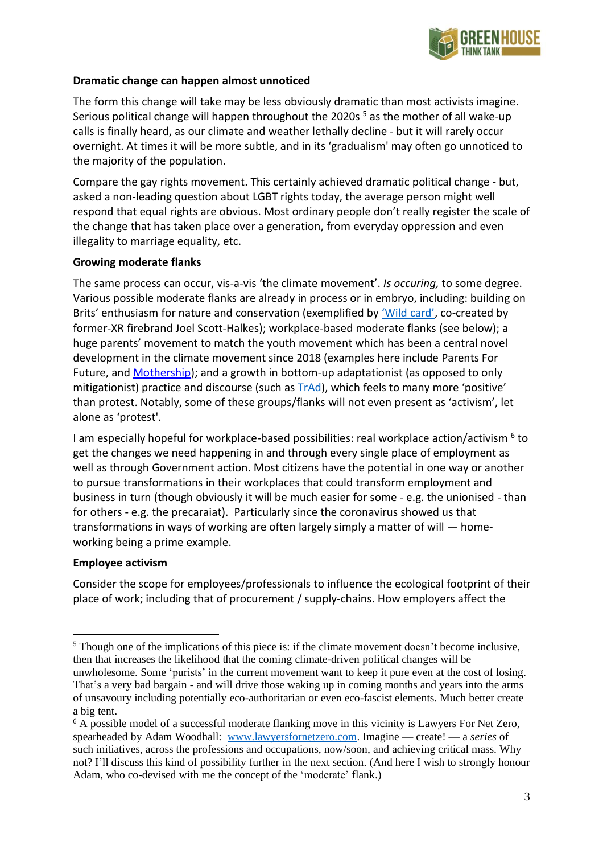

#### **Dramatic change can happen almost unnoticed**

The form this change will take may be less obviously dramatic than most activists imagine. Serious political change will happen throughout the 2020s<sup>5</sup> as the mother of all wake-up calls is finally heard, as our climate and weather lethally decline - but it will rarely occur overnight. At times it will be more subtle, and in its 'gradualism' may often go unnoticed to the majority of the population.

Compare the gay rights movement. This certainly achieved dramatic political change - but, asked a non-leading question about LGBT rights today, the average person might well respond that equal rights are obvious. Most ordinary people don't really register the scale of the change that has taken place over a generation, from everyday oppression and even illegality to marriage equality, etc.

#### **Growing moderate flanks**

The same process can occur, vis-a-vis 'the climate movement'. *Is occuring,* to some degree. Various possible moderate flanks are already in process or in embryo, including: building on Brits' enthusiasm for nature and conservation (exemplified by ['Wild](https://www.inkcapjournal.co.uk/inside-the-new-campaign-to-rewild/) card', co-created by former-XR firebrand Joel Scott-Halkes); workplace-based moderate flanks (see below); a huge parents' movement to match the youth movement which has been a central novel development in the climate movement since 2018 (examples here include Parents For Future, and [Mothership\)](https://www.instagram.com/heymothership/?hl=en); and a growth in bottom-up adaptationist (as opposed to only mitigationist) practice and discourse (such as  $TrAd$ ), which feels to many more 'positive' than protest. Notably, some of these groups/flanks will not even present as 'activism', let alone as 'protest'.

I am especially hopeful for workplace-based possibilities: real workplace action/activism <sup>6</sup> to get the changes we need happening in and through every single place of employment as well as through Government action. Most citizens have the potential in one way or another to pursue transformations in their workplaces that could transform employment and business in turn (though obviously it will be much easier for some - e.g. the unionised - than for others - e.g. the precaraiat). Particularly since the coronavirus showed us that transformations in ways of working are often largely simply a matter of will — homeworking being a prime example.

#### **Employee activism**

Consider the scope for employees/professionals to influence the ecological footprint of their place of work; including that of procurement / supply-chains. How employers affect the

<sup>&</sup>lt;sup>5</sup> Though one of the implications of this piece is: if the climate movement doesn't become inclusive, then that increases the likelihood that the coming climate-driven political changes will be unwholesome. Some 'purists' in the current movement want to keep it pure even at the cost of losing. That's a very bad bargain - and will drive those waking up in coming months and years into the arms of unsavoury including potentially eco-authoritarian or even eco-fascist elements. Much better create a big tent.

<sup>&</sup>lt;sup>6</sup> A possible model of a successful moderate flanking move in this vicinity is Lawyers For Net Zero, spearheaded by Adam Woodhall: [www.lawyersfornetzero.com.](http://www.lawyersfornetzero.com/) Imagine — create! — a *series* of such initiatives, across the professions and occupations, now/soon, and achieving critical mass. Why not? I'll discuss this kind of possibility further in the next section. (And here I wish to strongly honour Adam, who co-devised with me the concept of the 'moderate' flank.)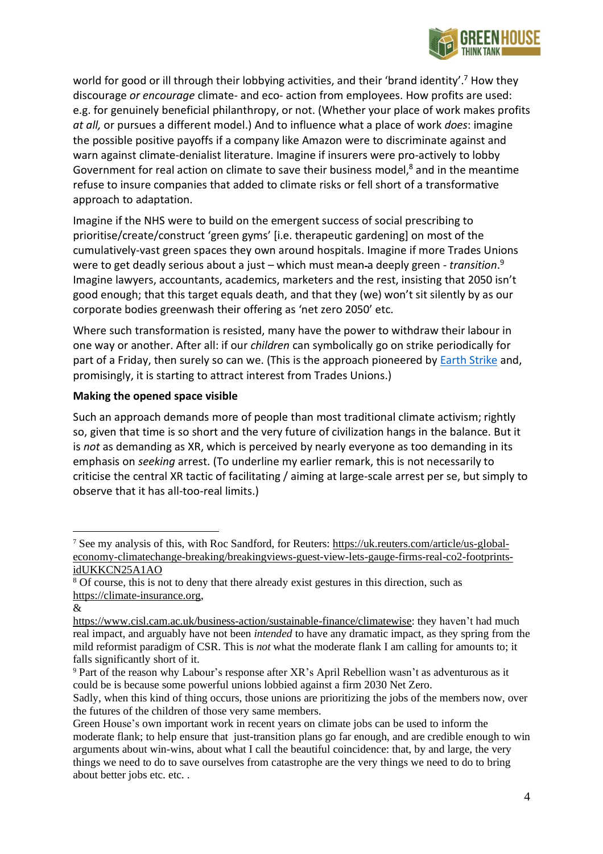

world for good or ill through their lobbying activities, and their 'brand identity'.<sup>7</sup> How they discourage *or encourage* climate- and eco- action from employees. How profits are used: e.g. for genuinely beneficial philanthropy, or not. (Whether your place of work makes profits *at all,* or pursues a different model.) And to influence what a place of work *does*: imagine the possible positive payoffs if a company like Amazon were to discriminate against and warn against climate-denialist literature. Imagine if insurers were pro-actively to lobby Government for real action on climate to save their business model, $8$  and in the meantime refuse to insure companies that added to climate risks or fell short of a transformative approach to adaptation.

Imagine if the NHS were to build on the emergent success of social prescribing to prioritise/create/construct 'green gyms' [i.e. therapeutic gardening] on most of the cumulatively-vast green spaces they own around hospitals. Imagine if more Trades Unions were to get deadly serious about a just – which must mean-a deeply green - transition.<sup>9</sup> Imagine lawyers, accountants, academics, marketers and the rest, insisting that 2050 isn't good enough; that this target equals death, and that they (we) won't sit silently by as our corporate bodies greenwash their offering as 'net zero 2050' etc.

Where such transformation is resisted, many have the power to withdraw their labour in one way or another. After all: if our *children* can symbolically go on strike periodically for part of a Friday, then surely so can we. (This is the approach pioneered by Earth [Strike](https://earth-strike.co.uk/) and, promisingly, it is starting to attract interest from Trades Unions.)

#### **Making the opened space visible**

Such an approach demands more of people than most traditional climate activism; rightly so, given that time is so short and the very future of civilization hangs in the balance. But it is *not* as demanding as XR, which is perceived by nearly everyone as too demanding in its emphasis on *seeking* arrest. (To underline my earlier remark, this is not necessarily to criticise the central XR tactic of facilitating / aiming at large-scale arrest per se, but simply to observe that it has all-too-real limits.)

<sup>7</sup> See my analysis of this, with Roc Sandford, for Reuters: [https://uk.reuters.com/article/us-global](https://uk.reuters.com/article/us-global-economy-climatechange-breaking/breakingviews-guest-view-lets-gauge-firms-real-co2-footprints-idUKKCN25A1AO)[economy-climatechange-breaking/breakingviews-guest-view-lets-gauge-firms-real-co2-footprints](https://uk.reuters.com/article/us-global-economy-climatechange-breaking/breakingviews-guest-view-lets-gauge-firms-real-co2-footprints-idUKKCN25A1AO)[idUKKCN25A1AO](https://uk.reuters.com/article/us-global-economy-climatechange-breaking/breakingviews-guest-view-lets-gauge-firms-real-co2-footprints-idUKKCN25A1AO)

<sup>&</sup>lt;sup>8</sup> Of course, this is not to deny that there already exist gestures in this direction, such as [https://climate-insurance.org,](https://climate-insurance.org/)

<sup>&</sup>amp;

[https://www.cisl.cam.ac.uk/business-action/sustainable-finance/climatewise:](https://www.cisl.cam.ac.uk/business-action/sustainable-finance/climatewise) they haven't had much real impact, and arguably have not been *intended* to have any dramatic impact, as they spring from the mild reformist paradigm of CSR. This is *not* what the moderate flank I am calling for amounts to; it falls significantly short of it.

<sup>9</sup> Part of the reason why Labour's response after XR's April Rebellion wasn't as adventurous as it could be is because some powerful unions lobbied against a firm 2030 Net Zero.

Sadly, when this kind of thing occurs, those unions are prioritizing the jobs of the members now, over the futures of the children of those very same members.

Green House's own important work in recent years on climate jobs can be used to inform the moderate flank; to help ensure that just-transition plans go far enough, and are credible enough to win arguments about win-wins, about what I call the beautiful coincidence: that, by and large, the very things we need to do to save ourselves from catastrophe are the very things we need to do to bring about better jobs etc. etc. .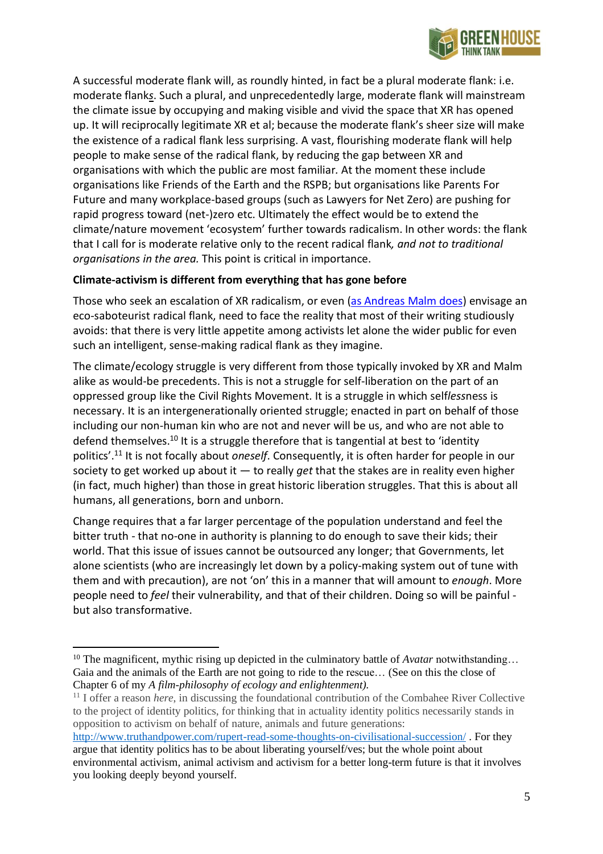

A successful moderate flank will, as roundly hinted, in fact be a plural moderate flank: i.e. moderate flank*s*. Such a plural, and unprecedentedly large, moderate flank will mainstream the climate issue by occupying and making visible and vivid the space that XR has opened up. It will reciprocally legitimate XR et al; because the moderate flank's sheer size will make the existence of a radical flank less surprising. A vast, flourishing moderate flank will help people to make sense of the radical flank, by reducing the gap between XR and organisations with which the public are most familiar*.* At the moment these include organisations like Friends of the Earth and the RSPB; but organisations like Parents For Future and many workplace-based groups (such as Lawyers for Net Zero) are pushing for rapid progress toward (net-)zero etc. Ultimately the effect would be to extend the climate/nature movement 'ecosystem' further towards radicalism. In other words: the flank that I call for is moderate relative only to the recent radical flank*, and not to traditional organisations in the area.* This point is critical in importance.

## **Climate-activism is different from everything that has gone before**

Those who seek an escalation of XR radicalism, or even (as [Andreas](https://www.facebook.com/watch/live/?v=438372333907239&ref=watch_permalink) Malm does) envisage an eco-saboteurist radical flank, need to face the reality that most of their writing studiously avoids: that there is very little appetite among activists let alone the wider public for even such an intelligent, sense-making radical flank as they imagine.

The climate/ecology struggle is very different from those typically invoked by XR and Malm alike as would-be precedents. This is not a struggle for self-liberation on the part of an oppressed group like the Civil Rights Movement. It is a struggle in which self*less*ness is necessary. It is an intergenerationally oriented struggle; enacted in part on behalf of those including our non-human kin who are not and never will be us, and who are not able to defend themselves.<sup>10</sup> It is a struggle therefore that is tangential at best to 'identity politics'.<sup>11</sup> It is not focally about *oneself*. Consequently, it is often harder for people in our society to get worked up about it — to really *get* that the stakes are in reality even higher (in fact, much higher) than those in great historic liberation struggles. That this is about all humans, all generations, born and unborn.

Change requires that a far larger percentage of the population understand and feel the bitter truth - that no-one in authority is planning to do enough to save their kids; their world. That this issue of issues cannot be outsourced any longer; that Governments, let alone scientists (who are increasingly let down by a policy-making system out of tune with them and with precaution), are not 'on' this in a manner that will amount to *enough*. More people need to *feel* their vulnerability, and that of their children. Doing so will be painful but also transformative.

<http://www.truthandpower.com/rupert-read-some-thoughts-on-civilisational-succession/> . For they argue that identity politics has to be about liberating yourself/ves; but the whole point about environmental activism, animal activism and activism for a better long-term future is that it involves you looking deeply beyond yourself.

<sup>&</sup>lt;sup>10</sup> The magnificent, mythic rising up depicted in the culminatory battle of *Avatar* notwithstanding... Gaia and the animals of the Earth are not going to ride to the rescue… (See on this the close of Chapter 6 of my *A film-philosophy of ecology and enlightenment).*

<sup>11</sup> I offer a reason *here*, in discussing the foundational contribution of the Combahee River Collective to the project of identity politics, for thinking that in actuality identity politics necessarily stands in opposition to activism on behalf of nature, animals and future generations: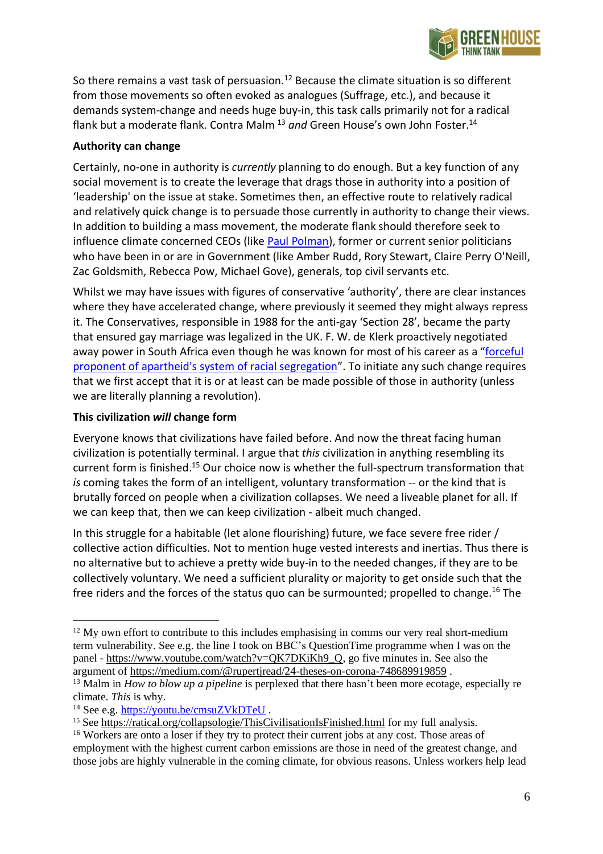

So there remains a vast task of persuasion.<sup>12</sup> Because the climate situation is so different from those movements so often evoked as analogues (Suffrage, etc.), and because it demands system-change and needs huge buy-in, this task calls primarily not for a radical flank but a moderate flank. Contra Malm<sup>13</sup> and Green House's own John Foster.<sup>14</sup>

## **Authority can change**

Certainly, no-one in authority is *currently* planning to do enough. But a key function of any social movement is to create the leverage that drags those in authority into a position of 'leadership' on the issue at stake. Sometimes then, an effective route to relatively radical and relatively quick change is to persuade those currently in authority to change their views. In addition to building a mass movement, the moderate flank should therefore seek to influence climate concerned CEOs (like Paul [Polman\)](https://twitter.com/PaulPolman?ref_src=twsrc%5Egoogle%7Ctwcamp%5Eserp%7Ctwgr%5Eauthor), former or current senior politicians who have been in or are in Government (like Amber Rudd, Rory Stewart, Claire Perry O'Neill, Zac Goldsmith, Rebecca Pow, Michael Gove), generals, top civil servants etc.

Whilst we may have issues with figures of conservative 'authority', there are clear instances where they have accelerated change, where previously it seemed they might always repress it. The Conservatives, responsible in 1988 for the anti-gay 'Section 28', became the party that ensured gay marriage was legalized in the UK. F. W. de Klerk proactively negotiated away power in South Africa even though he was known for most of his career as a "[forceful](https://en.wikipedia.org/wiki/F._W._de_Klerk#Early_political_career) proponent of apartheid's system of racial [segregation](https://en.wikipedia.org/wiki/F._W._de_Klerk#Early_political_career)". To initiate any such change requires that we first accept that it is or at least can be made possible of those in authority (unless we are literally planning a revolution).

#### **This civilization** *will* **change form**

Everyone knows that civilizations have failed before. And now the threat facing human civilization is potentially terminal. I argue that *this* civilization in anything resembling its current form is finished.<sup>15</sup> Our choice now is whether the full-spectrum transformation that *is* coming takes the form of an intelligent, voluntary transformation -- or the kind that is brutally forced on people when a civilization collapses. We need a liveable planet for all. If we can keep that, then we can keep civilization - albeit much changed.

In this struggle for a habitable (let alone flourishing) future, we face severe free rider / collective action difficulties. Not to mention huge vested interests and inertias. Thus there is no alternative but to achieve a pretty wide buy-in to the needed changes, if they are to be collectively voluntary. We need a sufficient plurality or majority to get onside such that the free riders and the forces of the status quo can be surmounted; propelled to change.<sup>16</sup> The

<sup>&</sup>lt;sup>12</sup> My own effort to contribute to this includes emphasising in comms our very real short-medium term vulnerability. See e.g. the line I took on BBC's QuestionTime programme when I was on the panel - [https://www.youtube.com/watch?v=QK7DKiKh9\\_Q,](https://www.youtube.com/watch?v=QK7DKiKh9_Q) go five minutes in. See also the argument of <https://medium.com/@rupertjread/24-theses-on-corona-748689919859> .

<sup>&</sup>lt;sup>13</sup> Malm in *How to blow up a pipeline* is perplexed that there hasn't been more ecotage, especially re climate. *This* is why.

<sup>14</sup> See e.g. <https://youtu.be/cmsuZVkDTeU> .

<sup>&</sup>lt;sup>15</sup> See <https://ratical.org/collapsologie/ThisCivilisationIsFinished.html> for my full analysis.

<sup>&</sup>lt;sup>16</sup> Workers are onto a loser if they try to protect their current jobs at any cost. Those areas of employment with the highest current carbon emissions are those in need of the greatest change, and those jobs are highly vulnerable in the coming climate, for obvious reasons. Unless workers help lead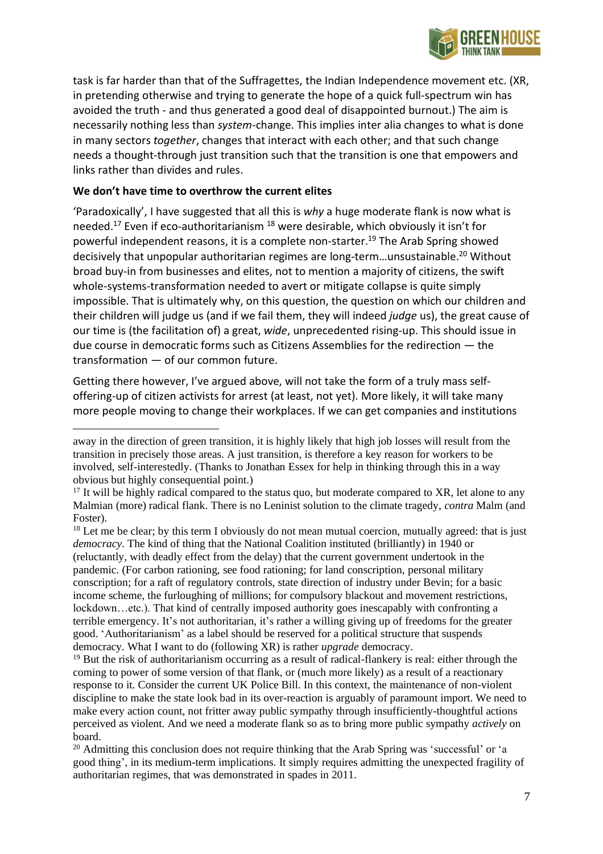

task is far harder than that of the Suffragettes, the Indian Independence movement etc. (XR, in pretending otherwise and trying to generate the hope of a quick full-spectrum win has avoided the truth - and thus generated a good deal of disappointed burnout.) The aim is necessarily nothing less than *system*-change. This implies inter alia changes to what is done in many sectors *together*, changes that interact with each other; and that such change needs a thought-through just transition such that the transition is one that empowers and links rather than divides and rules.

#### **We don't have time to overthrow the current elites**

'Paradoxically', I have suggested that all this is *why* a huge moderate flank is now what is needed.<sup>17</sup> Even if eco-authoritarianism <sup>18</sup> were desirable, which obviously it isn't for powerful independent reasons, it is a complete non-starter.<sup>19</sup> The Arab Spring showed decisively that unpopular authoritarian regimes are long-term...unsustainable.<sup>20</sup> Without broad buy-in from businesses and elites, not to mention a majority of citizens, the swift whole-systems-transformation needed to avert or mitigate collapse is quite simply impossible. That is ultimately why, on this question, the question on which our children and their children will judge us (and if we fail them, they will indeed *judge* us), the great cause of our time is (the facilitation of) a great, *wide*, unprecedented rising-up. This should issue in due course in democratic forms such as Citizens Assemblies for the redirection — the transformation — of our common future.

Getting there however, I've argued above, will not take the form of a truly mass selfoffering-up of citizen activists for arrest (at least, not yet). More likely, it will take many more people moving to change their workplaces. If we can get companies and institutions

away in the direction of green transition, it is highly likely that high job losses will result from the transition in precisely those areas. A just transition, is therefore a key reason for workers to be involved, self-interestedly. (Thanks to Jonathan Essex for help in thinking through this in a way obvious but highly consequential point.)

<sup>&</sup>lt;sup>17</sup> It will be highly radical compared to the status quo, but moderate compared to XR, let alone to any Malmian (more) radical flank. There is no Leninist solution to the climate tragedy, *contra* Malm (and Foster).

<sup>&</sup>lt;sup>18</sup> Let me be clear; by this term I obviously do not mean mutual coercion, mutually agreed: that is just *democracy*. The kind of thing that the National Coalition instituted (brilliantly) in 1940 or (reluctantly, with deadly effect from the delay) that the current government undertook in the pandemic. (For carbon rationing, see food rationing; for land conscription, personal military conscription; for a raft of regulatory controls, state direction of industry under Bevin; for a basic income scheme, the furloughing of millions; for compulsory blackout and movement restrictions, lockdown…etc.). That kind of centrally imposed authority goes inescapably with confronting a terrible emergency. It's not authoritarian, it's rather a willing giving up of freedoms for the greater good. 'Authoritarianism' as a label should be reserved for a political structure that suspends democracy. What I want to do (following XR) is rather *upgrade* democracy.

<sup>&</sup>lt;sup>19</sup> But the risk of authoritarianism occurring as a result of radical-flankery is real: either through the coming to power of some version of that flank, or (much more likely) as a result of a reactionary response to it. Consider the current UK Police Bill. In this context, the maintenance of non-violent discipline to make the state look bad in its over-reaction is arguably of paramount import. We need to make every action count, not fritter away public sympathy through insufficiently-thoughtful actions perceived as violent. And we need a moderate flank so as to bring more public sympathy *actively* on board.

<sup>&</sup>lt;sup>20</sup> Admitting this conclusion does not require thinking that the Arab Spring was 'successful' or 'a good thing', in its medium-term implications. It simply requires admitting the unexpected fragility of authoritarian regimes, that was demonstrated in spades in 2011.